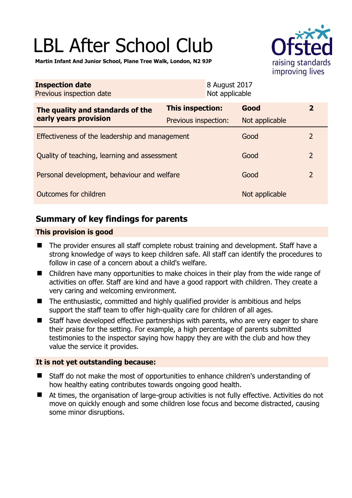# LBL After School Club



**Martin Infant And Junior School, Plane Tree Walk, London, N2 9JP** 

| <b>Inspection date</b><br>Previous inspection date        |                      | 8 August 2017<br>Not applicable |                |                         |
|-----------------------------------------------------------|----------------------|---------------------------------|----------------|-------------------------|
| The quality and standards of the<br>early years provision | This inspection:     |                                 | Good           | $\overline{\mathbf{2}}$ |
|                                                           | Previous inspection: |                                 | Not applicable |                         |
| Effectiveness of the leadership and management            |                      |                                 | Good           | 2                       |
| Quality of teaching, learning and assessment              |                      |                                 | Good           | $\overline{2}$          |
| Personal development, behaviour and welfare               |                      |                                 | Good           | $\overline{2}$          |
| Outcomes for children                                     |                      |                                 | Not applicable |                         |

# **Summary of key findings for parents**

#### **This provision is good**

- The provider ensures all staff complete robust training and development. Staff have a strong knowledge of ways to keep children safe. All staff can identify the procedures to follow in case of a concern about a child's welfare.
- Children have many opportunities to make choices in their play from the wide range of activities on offer. Staff are kind and have a good rapport with children. They create a very caring and welcoming environment.
- The enthusiastic, committed and highly qualified provider is ambitious and helps support the staff team to offer high-quality care for children of all ages.
- Staff have developed effective partnerships with parents, who are very eager to share their praise for the setting. For example, a high percentage of parents submitted testimonies to the inspector saying how happy they are with the club and how they value the service it provides.

#### **It is not yet outstanding because:**

- Staff do not make the most of opportunities to enhance children's understanding of how healthy eating contributes towards ongoing good health.
- At times, the organisation of large-group activities is not fully effective. Activities do not move on quickly enough and some children lose focus and become distracted, causing some minor disruptions.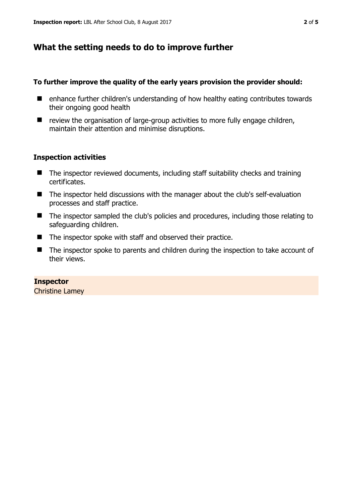## **What the setting needs to do to improve further**

#### **To further improve the quality of the early years provision the provider should:**

- enhance further children's understanding of how healthy eating contributes towards their ongoing good health
- $\blacksquare$  review the organisation of large-group activities to more fully engage children, maintain their attention and minimise disruptions.

#### **Inspection activities**

- $\blacksquare$  The inspector reviewed documents, including staff suitability checks and training certificates.
- The inspector held discussions with the manager about the club's self-evaluation processes and staff practice.
- The inspector sampled the club's policies and procedures, including those relating to safeguarding children.
- The inspector spoke with staff and observed their practice.
- The inspector spoke to parents and children during the inspection to take account of their views.

**Inspector**  Christine Lamey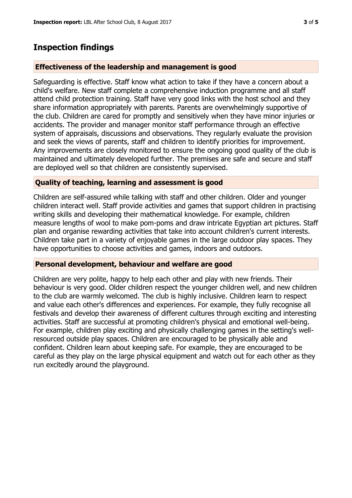### **Inspection findings**

#### **Effectiveness of the leadership and management is good**

Safeguarding is effective. Staff know what action to take if they have a concern about a child's welfare. New staff complete a comprehensive induction programme and all staff attend child protection training. Staff have very good links with the host school and they share information appropriately with parents. Parents are overwhelmingly supportive of the club. Children are cared for promptly and sensitively when they have minor injuries or accidents. The provider and manager monitor staff performance through an effective system of appraisals, discussions and observations. They regularly evaluate the provision and seek the views of parents, staff and children to identify priorities for improvement. Any improvements are closely monitored to ensure the ongoing good quality of the club is maintained and ultimately developed further. The premises are safe and secure and staff are deployed well so that children are consistently supervised.

#### **Quality of teaching, learning and assessment is good**

Children are self-assured while talking with staff and other children. Older and younger children interact well. Staff provide activities and games that support children in practising writing skills and developing their mathematical knowledge. For example, children measure lengths of wool to make pom-poms and draw intricate Egyptian art pictures. Staff plan and organise rewarding activities that take into account children's current interests. Children take part in a variety of enjoyable games in the large outdoor play spaces. They have opportunities to choose activities and games, indoors and outdoors.

#### **Personal development, behaviour and welfare are good**

Children are very polite, happy to help each other and play with new friends. Their behaviour is very good. Older children respect the younger children well, and new children to the club are warmly welcomed. The club is highly inclusive. Children learn to respect and value each other's differences and experiences. For example, they fully recognise all festivals and develop their awareness of different cultures through exciting and interesting activities. Staff are successful at promoting children's physical and emotional well-being. For example, children play exciting and physically challenging games in the setting's wellresourced outside play spaces. Children are encouraged to be physically able and confident. Children learn about keeping safe. For example, they are encouraged to be careful as they play on the large physical equipment and watch out for each other as they run excitedly around the playground.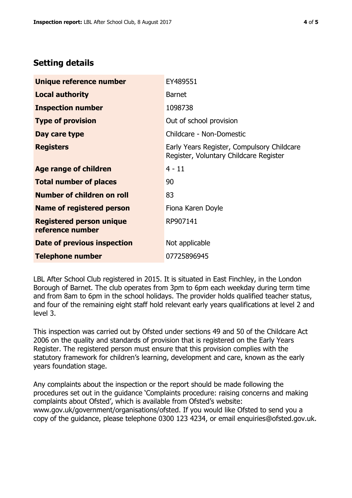# **Setting details**

| Unique reference number                             | EY489551                                                                             |  |
|-----------------------------------------------------|--------------------------------------------------------------------------------------|--|
| <b>Local authority</b>                              | <b>Barnet</b>                                                                        |  |
| <b>Inspection number</b>                            | 1098738                                                                              |  |
| <b>Type of provision</b>                            | Out of school provision                                                              |  |
| Day care type                                       | Childcare - Non-Domestic                                                             |  |
| <b>Registers</b>                                    | Early Years Register, Compulsory Childcare<br>Register, Voluntary Childcare Register |  |
| Age range of children                               | $4 - 11$                                                                             |  |
| <b>Total number of places</b>                       | 90                                                                                   |  |
| Number of children on roll                          | 83                                                                                   |  |
| <b>Name of registered person</b>                    | Fiona Karen Doyle                                                                    |  |
| <b>Registered person unique</b><br>reference number | RP907141                                                                             |  |
| <b>Date of previous inspection</b>                  | Not applicable                                                                       |  |
| <b>Telephone number</b>                             | 07725896945                                                                          |  |

LBL After School Club registered in 2015. It is situated in East Finchley, in the London Borough of Barnet. The club operates from 3pm to 6pm each weekday during term time and from 8am to 6pm in the school holidays. The provider holds qualified teacher status, and four of the remaining eight staff hold relevant early years qualifications at level 2 and level 3.

This inspection was carried out by Ofsted under sections 49 and 50 of the Childcare Act 2006 on the quality and standards of provision that is registered on the Early Years Register. The registered person must ensure that this provision complies with the statutory framework for children's learning, development and care, known as the early years foundation stage.

Any complaints about the inspection or the report should be made following the procedures set out in the guidance 'Complaints procedure: raising concerns and making complaints about Ofsted', which is available from Ofsted's website: www.gov.uk/government/organisations/ofsted. If you would like Ofsted to send you a copy of the guidance, please telephone 0300 123 4234, or email enquiries@ofsted.gov.uk.